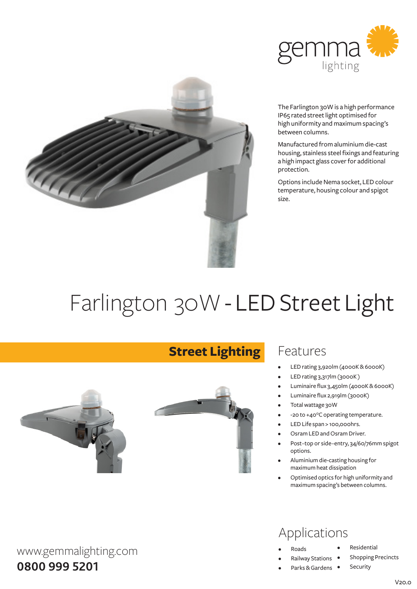



The Farlington 30W is a high performance IP65 rated street light optimised for high uniformity and maximum spacing's between columns.

Manufactured fromaluminiumdie-cast housing, stainless steel fixings and featuring a high impact glass cover for additional protection.

Options include Nema socket, LED colour temperature, housing colour and spigot size.

# Farlington 30W - LED Street Light

**Street Lighting**



#### Features

- LED rating 3,920lm (4000K&6000K)
- LED rating 3,317lm (3000K)
- Luminaire flux 3,450lm (4000K&6000K)
- Luminaire flux 2,919lm (3000K)
- Total wattage 30W
- -20 to +40°C operating temperature.
- LED Life span > 100,000hrs.
- Osram LED and Osram Driver.
- Post-top or side-entry, 34/60/76mm spigot options.
- Aluminium die-casting housing for maximumheat dissipation
- Optimised optics for high uniformity and maximumspacing's between columns.

#### Applications

- **Roads**
- **Railway Stations**
- Parks & Gardens •
- **Residential**
- **Shopping Precincts** 
	- Security

**0800 999 5201**

www.gemmalighting.com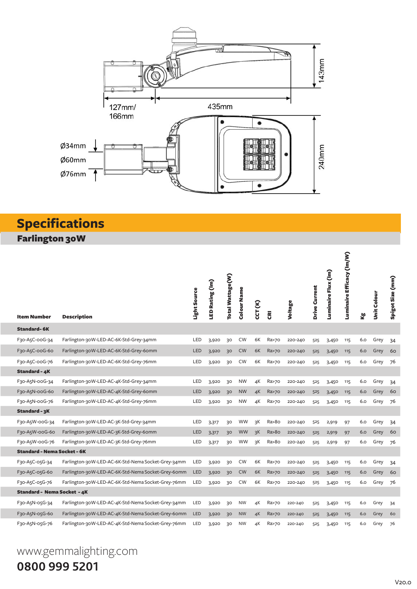

### **Specifications**

Farlington 30W

| <b>Item Number</b>                 | <b>Description</b>                                 | Light Source | LED Rating (Im) | Total Wattage(W) | Colour Name | CCT (K) | $\overline{\mathbf{g}}$ | Voltage | Drive Current | Luminaire Flux (Im) | Luminaire Efficacy (Im/W) | kg<br>K | Unit Colour | Spigot Size (mm) |
|------------------------------------|----------------------------------------------------|--------------|-----------------|------------------|-------------|---------|-------------------------|---------|---------------|---------------------|---------------------------|---------|-------------|------------------|
| <b>Standard-6K</b>                 |                                                    |              |                 |                  |             |         |                         |         |               |                     |                           |         |             |                  |
| F30-A5C-00G-34                     | Farlington-30W-LED-AC-6K-Std-Grey-34mm             | LED          | 3,920           | 30               | <b>CW</b>   | 6K      | Ra>70                   | 220-240 | 525           | 3,450               | 115                       | 6.0     | Grey        | 34               |
| F30-A5C-00G-60                     | Farlington-30W-LED-AC-6K-Std-Grey-60mm             | LED          | 3,920           | 30 <sup>°</sup>  | <b>CW</b>   | 6K      | Ra>70                   | 220-240 | 525           | 3,450               | 115                       | 6.0     | Grey        | 60               |
| F30-A5C-00G-76                     | Farlington-30W-LED-AC-6K-Std-Grey-76mm             | LED          | 3,920           | 30               | <b>CW</b>   | 6K      | Ra>70                   | 220-240 | 525           | 3,450               | 115                       | 6.0     | Grey        | 76               |
| Standard - 4K                      |                                                    |              |                 |                  |             |         |                         |         |               |                     |                           |         |             |                  |
| F30-A5N-00G-34                     | Farlington-30W-LED-AC-4K-Std-Grey-34mm             | LED          | 3,920           | 30               | <b>NW</b>   | 4K      | Ra>70                   | 220-240 | 525           | 3,450               | 115                       | 6.0     | Grey        | 34               |
| F30-A5N-00G-60                     | Farlington-30W-LED-AC-4K-Std-Grey-60mm             | LED          | 3,920           | 30 <sup>°</sup>  | <b>NW</b>   | 4K      | Ra>70                   | 220-240 | 525           | 3,450               | 115                       | 6.0     | Grey        | 60               |
| F30-A5N-00G-76                     | Farlington-30W-LED-AC-4K-Std-Grey-76mm             | LED          | 3,920           | 30               | <b>NW</b>   | 4К      | Ra>70                   | 220-240 | 525           | 3,450               | 115                       | 6.0     | Grey        | 76               |
| Standard - 3K                      |                                                    |              |                 |                  |             |         |                         |         |               |                     |                           |         |             |                  |
| F30-A5W-00G-34                     | Farlington-30W-LED-AC-3K-Std-Grey-34mm             | LED          | 3,317           | 30               | <b>WW</b>   | зK      | Ra>8o                   | 220-240 | 525           | 2,919               | 97                        | 6.0     | Grey        | 34               |
| F30-A5W-00G-60                     | Farlington-30W-LED-AC-3K-Std-Grey-60mm             | LED          | 3,317           | 30 <sup>°</sup>  | <b>WW</b>   | 3K      | Ra > 80                 | 220-240 | 525           | 2,919               | 97                        | 6.0     | Grey        | 60               |
| F30-A5W-00G-76                     | Farlington-30W-LED-AC-3K-Std-Grey-76mm             | LED          | 3,317           | 30               | <b>WW</b>   | 3K      | Ra>8o                   | 220-240 | 525           | 2,919               | 97                        | 6.0     | Grey        | 76               |
| <b>Standard - Nema Socket - 6K</b> |                                                    |              |                 |                  |             |         |                         |         |               |                     |                           |         |             |                  |
| F30-A5C-05G-34                     | Farlington-30W-LED-AC-6K-Std-Nema Socket-Grey-34mm | LED          | 3,920           | 30               | <b>CW</b>   | 6K      | Ra>70                   | 220-240 | 525           | 3,450               | 115                       | 6.0     | Grey        | 34               |
| F30-A5C-05G-60                     | Farlington-30W-LED-AC-6K-Std-Nema Socket-Grey-60mm | LED          | 3,920           | 30               | <b>CW</b>   | 6K      | Ra>70                   | 220-240 | 525           | 3,450               | 115                       | 6.0     | Grey        | 60               |
| F30-A5C-05G-76                     | Farlington-30W-LED-AC-6K-Std-Nema Socket-Grey-76mm | <b>LED</b>   | 3,920           | 30               | CW          | 6K      | Ra>70                   | 220-240 | 525           | 3,450               | 115                       | 6.0     | Grey        | 76               |
| <b>Standard - Nema Socket - 4K</b> |                                                    |              |                 |                  |             |         |                         |         |               |                     |                           |         |             |                  |
| F30-A5N-05G-34                     | Farlington-30W-LED-AC-4K-Std-Nema Socket-Grey-34mm | LED          | 3,920           | 30               | <b>NW</b>   | 4К      | Ra>70                   | 220-240 | 525           | 3,450               | 115                       | 6.O     | Grey        | 34               |
| F30-A5N-05G-60                     | Farlington-30W-LED-AC-4K-Std-Nema Socket-Grey-60mm | <b>LED</b>   | 3,920           | 30               | <b>NW</b>   | 4K      | Ra>70                   | 220-240 | 525           | 3,450               | 115                       | 6.0     | Grey        | 60               |
| F30-A5N-05G-76                     | Farlington-30W-LED-AC-4K-Std-Nema Socket-Grey-76mm | LED          | 3,920           | 30               | <b>NW</b>   | 4K      | Ra>70                   | 220-240 | 525           | 3,450               | 115                       | 6.0     | Grey        | 76               |

## www.gemmalighting.com